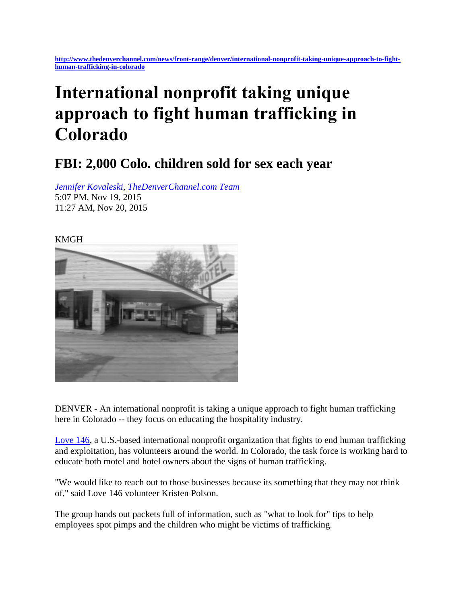## **International nonprofit taking unique approach to fight human trafficking in Colorado**

## **FBI: 2,000 Colo. children sold for sex each year**

*[Jennifer Kovaleski,](mailto:jennifer.kovaleski@kmgh.com) [TheDenverChannel.com Team](mailto:kmghwebstaff@kmgh.com)*  5:07 PM, Nov 19, 2015 11:27 AM, Nov 20, 2015

## KMGH



DENVER - An international nonprofit is taking a unique approach to fight human trafficking here in Colorado -- they focus on educating the hospitality industry.

[Love 146,](https://love146.org/) a U.S.-based international nonprofit organization that fights to end human trafficking and exploitation, has volunteers around the world. In Colorado, the task force is working hard to educate both motel and hotel owners about the signs of human trafficking.

"We would like to reach out to those businesses because its something that they may not think of," said Love 146 volunteer Kristen Polson.

The group hands out packets full of information, such as "what to look for" tips to help employees spot pimps and the children who might be victims of trafficking.